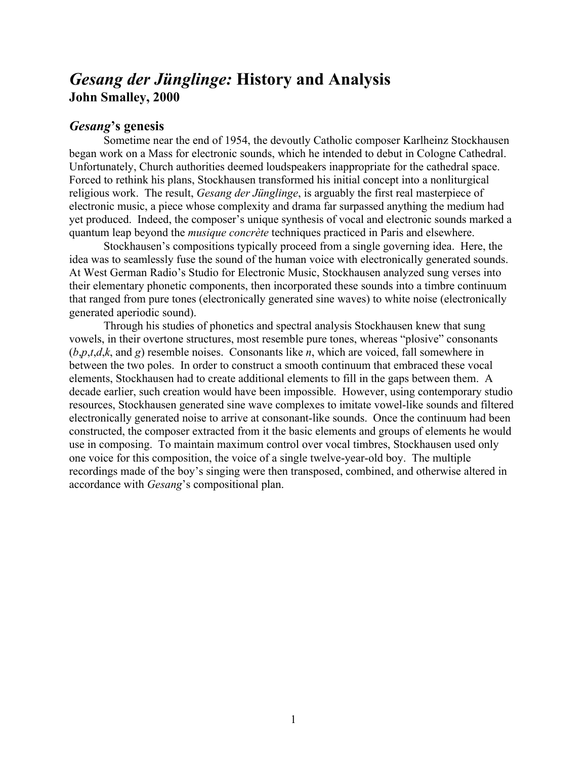# *Gesang der Jünglinge:* **History and Analysis John Smalley, 2000**

### *Gesang***'s genesis**

Sometime near the end of 1954, the devoutly Catholic composer Karlheinz Stockhausen began work on a Mass for electronic sounds, which he intended to debut in Cologne Cathedral. Unfortunately, Church authorities deemed loudspeakers inappropriate for the cathedral space. Forced to rethink his plans, Stockhausen transformed his initial concept into a nonliturgical religious work. The result, *Gesang der Jünglinge*, is arguably the first real masterpiece of electronic music, a piece whose complexity and drama far surpassed anything the medium had yet produced. Indeed, the composer's unique synthesis of vocal and electronic sounds marked a quantum leap beyond the *musique concrète* techniques practiced in Paris and elsewhere.

Stockhausen's compositions typically proceed from a single governing idea. Here, the idea was to seamlessly fuse the sound of the human voice with electronically generated sounds. At West German Radio's Studio for Electronic Music, Stockhausen analyzed sung verses into their elementary phonetic components, then incorporated these sounds into a timbre continuum that ranged from pure tones (electronically generated sine waves) to white noise (electronically generated aperiodic sound).

Through his studies of phonetics and spectral analysis Stockhausen knew that sung vowels, in their overtone structures, most resemble pure tones, whereas "plosive" consonants (*b*,*p*,*t*,*d*,*k*, and *g*) resemble noises. Consonants like *n*, which are voiced, fall somewhere in between the two poles. In order to construct a smooth continuum that embraced these vocal elements, Stockhausen had to create additional elements to fill in the gaps between them. A decade earlier, such creation would have been impossible. However, using contemporary studio resources, Stockhausen generated sine wave complexes to imitate vowel-like sounds and filtered electronically generated noise to arrive at consonant-like sounds. Once the continuum had been constructed, the composer extracted from it the basic elements and groups of elements he would use in composing. To maintain maximum control over vocal timbres, Stockhausen used only one voice for this composition, the voice of a single twelve-year-old boy. The multiple recordings made of the boy's singing were then transposed, combined, and otherwise altered in accordance with *Gesang*'s compositional plan.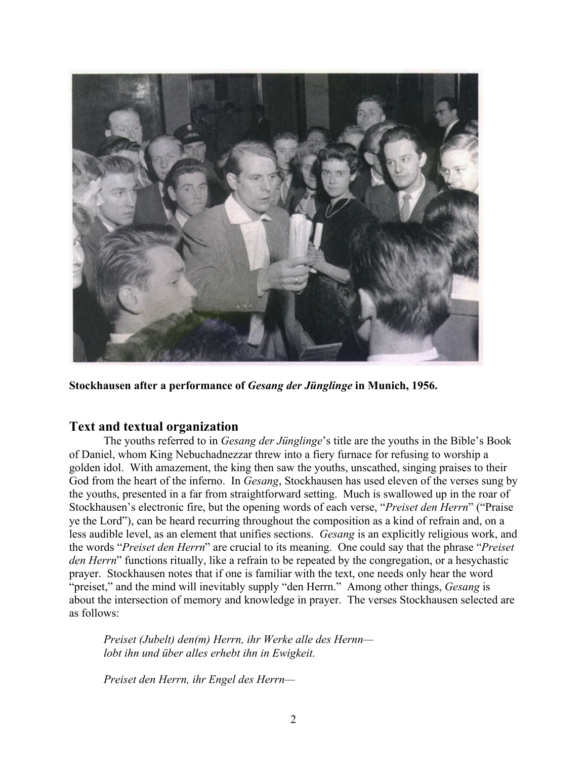

**Stockhausen after a performance of** *Gesang der Jünglinge* **in Munich, 1956.**

## **Text and textual organization**

The youths referred to in *Gesang der Jünglinge*'s title are the youths in the Bible's Book of Daniel, whom King Nebuchadnezzar threw into a fiery furnace for refusing to worship a golden idol. With amazement, the king then saw the youths, unscathed, singing praises to their God from the heart of the inferno. In *Gesang*, Stockhausen has used eleven of the verses sung by the youths, presented in a far from straightforward setting. Much is swallowed up in the roar of Stockhausen's electronic fire, but the opening words of each verse, "*Preiset den Herrn*" ("Praise ye the Lord"), can be heard recurring throughout the composition as a kind of refrain and, on a less audible level, as an element that unifies sections. *Gesang* is an explicitly religious work, and the words "*Preiset den Herrn*" are crucial to its meaning. One could say that the phrase "*Preiset den Herrn*" functions ritually, like a refrain to be repeated by the congregation, or a hesychastic prayer. Stockhausen notes that if one is familiar with the text, one needs only hear the word "preiset," and the mind will inevitably supply "den Herrn." Among other things, *Gesang* is about the intersection of memory and knowledge in prayer. The verses Stockhausen selected are as follows:

*Preiset (Jubelt) den(m) Herrn, ihr Werke alle des Hernn lobt ihn und über alles erhebt ihn in Ewigkeit.*

*Preiset den Herrn, ihr Engel des Herrn—*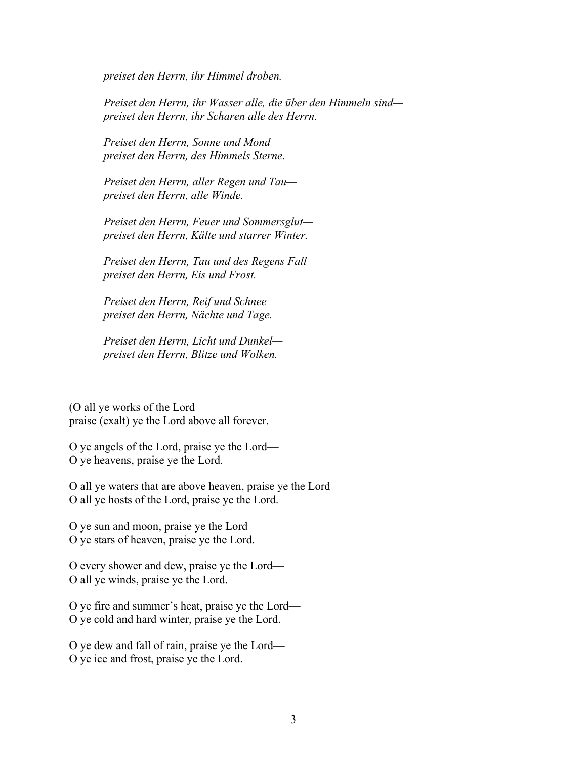*preiset den Herrn, ihr Himmel droben.*

*Preiset den Herrn, ihr Wasser alle, die über den Himmeln sind preiset den Herrn, ihr Scharen alle des Herrn.*

*Preiset den Herrn, Sonne und Mond preiset den Herrn, des Himmels Sterne.*

*Preiset den Herrn, aller Regen und Tau preiset den Herrn, alle Winde.*

*Preiset den Herrn, Feuer und Sommersglut preiset den Herrn, Kälte und starrer Winter.*

*Preiset den Herrn, Tau und des Regens Fall preiset den Herrn, Eis und Frost.*

*Preiset den Herrn, Reif und Schnee preiset den Herrn, Nächte und Tage.*

*Preiset den Herrn, Licht und Dunkel preiset den Herrn, Blitze und Wolken.*

(O all ye works of the Lord praise (exalt) ye the Lord above all forever.

O ye angels of the Lord, praise ye the Lord— O ye heavens, praise ye the Lord.

O all ye waters that are above heaven, praise ye the Lord— O all ye hosts of the Lord, praise ye the Lord.

O ye sun and moon, praise ye the Lord— O ye stars of heaven, praise ye the Lord.

O every shower and dew, praise ye the Lord— O all ye winds, praise ye the Lord.

O ye fire and summer's heat, praise ye the Lord— O ye cold and hard winter, praise ye the Lord.

O ye dew and fall of rain, praise ye the Lord— O ye ice and frost, praise ye the Lord.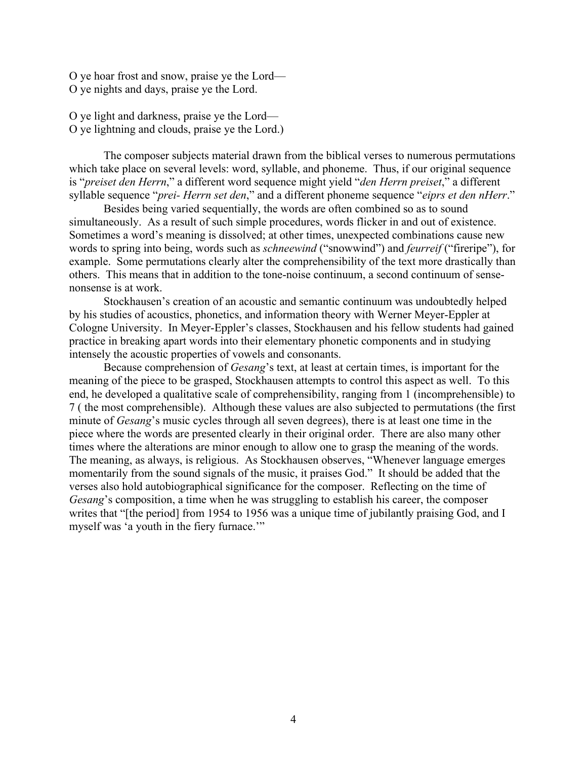O ye hoar frost and snow, praise ye the Lord— O ye nights and days, praise ye the Lord.

O ye light and darkness, praise ye the Lord— O ye lightning and clouds, praise ye the Lord.)

The composer subjects material drawn from the biblical verses to numerous permutations which take place on several levels: word, syllable, and phoneme. Thus, if our original sequence is "*preiset den Herrn*," a different word sequence might yield "*den Herrn preiset*," a different syllable sequence "*prei- Herrn set den*," and a different phoneme sequence "*eiprs et den nHerr*."

Besides being varied sequentially, the words are often combined so as to sound simultaneously. As a result of such simple procedures, words flicker in and out of existence. Sometimes a word's meaning is dissolved; at other times, unexpected combinations cause new words to spring into being, words such as *schneewind* ("snowwind") and *feurreif* ("fireripe"), for example. Some permutations clearly alter the comprehensibility of the text more drastically than others. This means that in addition to the tone-noise continuum, a second continuum of sensenonsense is at work.

Stockhausen's creation of an acoustic and semantic continuum was undoubtedly helped by his studies of acoustics, phonetics, and information theory with Werner Meyer-Eppler at Cologne University. In Meyer-Eppler's classes, Stockhausen and his fellow students had gained practice in breaking apart words into their elementary phonetic components and in studying intensely the acoustic properties of vowels and consonants.

Because comprehension of *Gesang*'s text, at least at certain times, is important for the meaning of the piece to be grasped, Stockhausen attempts to control this aspect as well. To this end, he developed a qualitative scale of comprehensibility, ranging from 1 (incomprehensible) to 7 ( the most comprehensible). Although these values are also subjected to permutations (the first minute of *Gesang*'s music cycles through all seven degrees), there is at least one time in the piece where the words are presented clearly in their original order. There are also many other times where the alterations are minor enough to allow one to grasp the meaning of the words. The meaning, as always, is religious. As Stockhausen observes, "Whenever language emerges momentarily from the sound signals of the music, it praises God." It should be added that the verses also hold autobiographical significance for the composer. Reflecting on the time of *Gesang*'s composition, a time when he was struggling to establish his career, the composer writes that "[the period] from 1954 to 1956 was a unique time of jubilantly praising God, and I myself was 'a youth in the fiery furnace."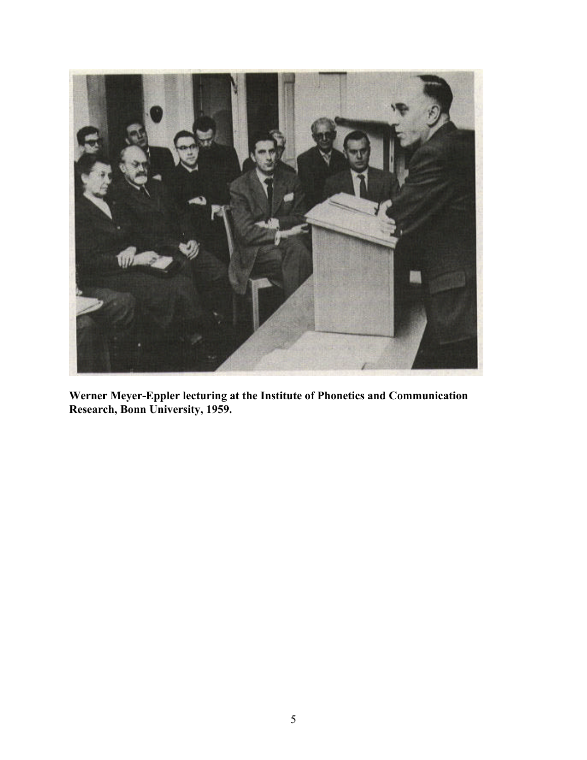

**Werner Meyer-Eppler lecturing at the Institute of Phonetics and Communication Research, Bonn University, 1959.**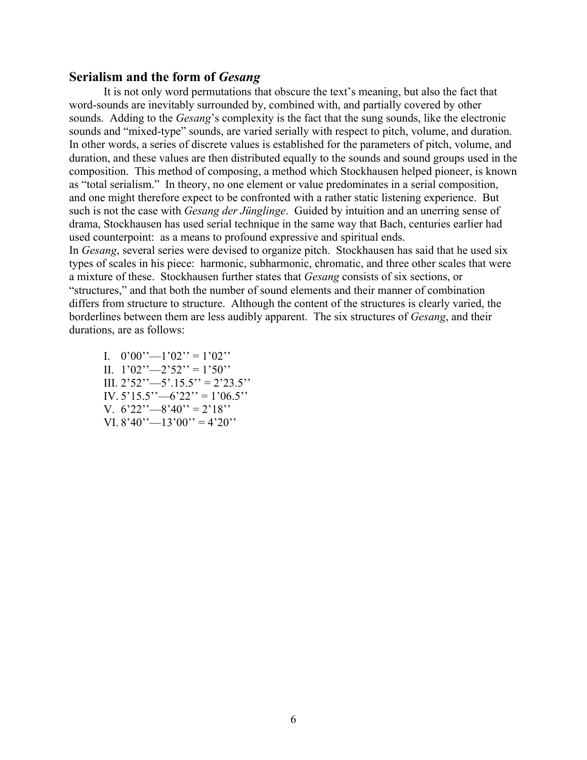#### **Serialism and the form of** *Gesang*

It is not only word permutations that obscure the text's meaning, but also the fact that word-sounds are inevitably surrounded by, combined with, and partially covered by other sounds. Adding to the *Gesang*'s complexity is the fact that the sung sounds, like the electronic sounds and "mixed-type" sounds, are varied serially with respect to pitch, volume, and duration. In other words, a series of discrete values is established for the parameters of pitch, volume, and duration, and these values are then distributed equally to the sounds and sound groups used in the composition. This method of composing, a method which Stockhausen helped pioneer, is known as "total serialism." In theory, no one element or value predominates in a serial composition, and one might therefore expect to be confronted with a rather static listening experience. But such is not the case with *Gesang der Jünglinge*. Guided by intuition and an unerring sense of drama, Stockhausen has used serial technique in the same way that Bach, centuries earlier had used counterpoint: as a means to profound expressive and spiritual ends.

In *Gesang*, several series were devised to organize pitch. Stockhausen has said that he used six types of scales in his piece: harmonic, subharmonic, chromatic, and three other scales that were a mixture of these. Stockhausen further states that *Gesang* consists of six sections, or "structures," and that both the number of sound elements and their manner of combination differs from structure to structure. Although the content of the structures is clearly varied, the borderlines between them are less audibly apparent. The six structures of *Gesang*, and their durations, are as follows:

I.  $0'00'$ ' $-1'02'$ ' = 1'02'' II.  $1'02'' - 2'52'' = 1'50''$ III.  $2'52'' - 5'15.5'' = 2'23.5''$ IV.  $5'15.5'' - 6'22'' = 1'06.5''$ V.  $6'22''-8'40''=2'18''$ VI.  $8'40'' - 13'00'' = 4'20''$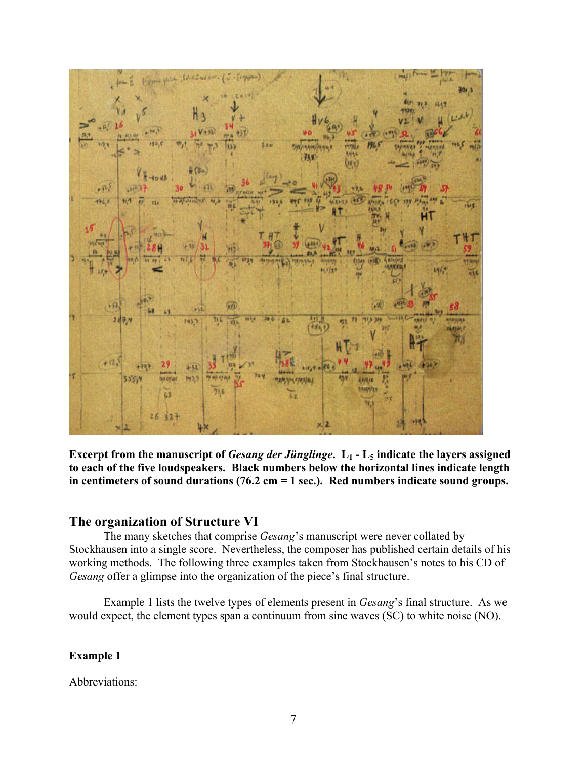

**Excerpt from the manuscript of** *Gesang der Jünglinge***. L1 - L5 indicate the layers assigned to each of the five loudspeakers. Black numbers below the horizontal lines indicate length in centimeters of sound durations (76.2 cm = 1 sec.). Red numbers indicate sound groups.**

#### **The organization of Structure VI**

The many sketches that comprise *Gesang*'s manuscript were never collated by Stockhausen into a single score. Nevertheless, the composer has published certain details of his working methods. The following three examples taken from Stockhausen's notes to his CD of *Gesang* offer a glimpse into the organization of the piece's final structure.

Example 1 lists the twelve types of elements present in *Gesang*'s final structure. As we would expect, the element types span a continuum from sine waves (SC) to white noise (NO).

### **Example 1**

Abbreviations: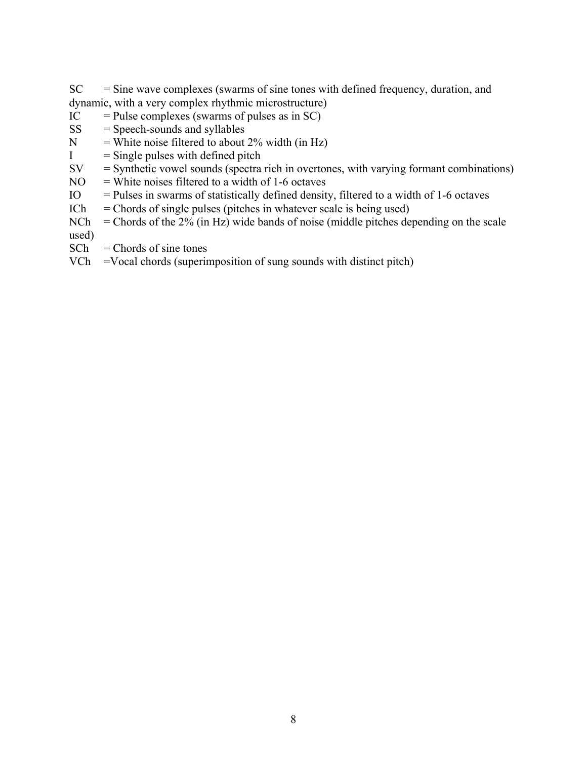$SC = Sine$  wave complexes (swarms of sine tones with defined frequency, duration, and dynamic, with a very complex rhythmic microstructure)

- $IC =$  Pulse complexes (swarms of pulses as in SC)
- $SS = Speech-sounds$  and syllables
- $N =$  White noise filtered to about 2% width (in Hz)
- $I =$  Single pulses with defined pitch
- $SV = Synthetic$  vowel sounds (spectra rich in overtones, with varying formant combinations)
- $NO = White$  noises filtered to a width of 1-6 octaves
- $IO$  = Pulses in swarms of statistically defined density, filtered to a width of 1-6 octaves
- $ICh = Chords of single pulses (pitches in whatever scale is being used)$
- $NCh$  = Chords of the 2% (in Hz) wide bands of noise (middle pitches depending on the scale used)
- $SCh = Chords of sine tones$
- VCh =Vocal chords (superimposition of sung sounds with distinct pitch)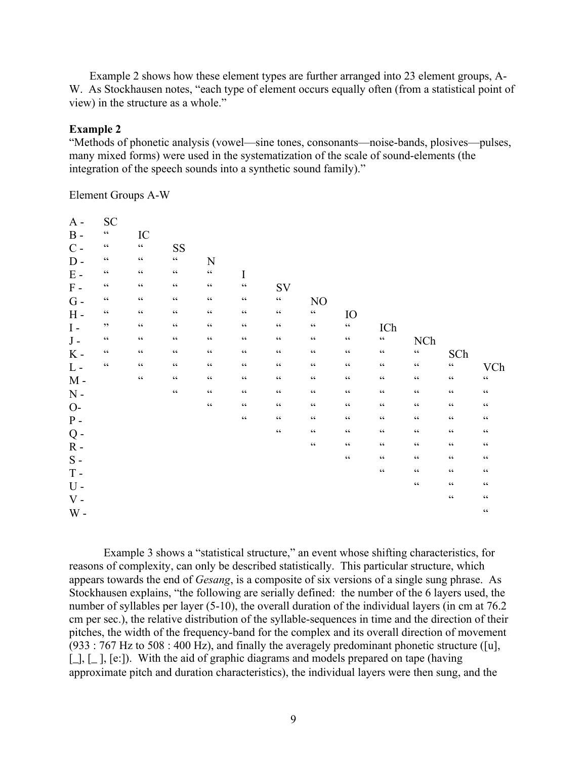Example 2 shows how these element types are further arranged into 23 element groups, A-W. As Stockhausen notes, "each type of element occurs equally often (from a statistical point of view) in the structure as a whole."

#### **Example 2**

"Methods of phonetic analysis (vowel—sine tones, consonants—noise-bands, plosives—pulses, many mixed forms) were used in the systematization of the scale of sound-elements (the integration of the speech sounds into a synthetic sound family)."

Element Groups A-W

| $A -$                       | <b>SC</b>        |                  |                  |                  |                         |                                                   |                  |                                                   |                                                   |                                                   |                 |                 |
|-----------------------------|------------------|------------------|------------------|------------------|-------------------------|---------------------------------------------------|------------------|---------------------------------------------------|---------------------------------------------------|---------------------------------------------------|-----------------|-----------------|
| $\, {\bf B}$ -              | $\zeta \, \zeta$ | IC               |                  |                  |                         |                                                   |                  |                                                   |                                                   |                                                   |                 |                 |
| $C -$                       | $\zeta\,\zeta$   | $\zeta \, \zeta$ | SS               |                  |                         |                                                   |                  |                                                   |                                                   |                                                   |                 |                 |
| $D -$                       | $\zeta\,\zeta$   | $\zeta \, \zeta$ | $\zeta\,\zeta$   | N                |                         |                                                   |                  |                                                   |                                                   |                                                   |                 |                 |
| $\mathbf E$ -               | $\zeta$ $\zeta$  | $\zeta\,\zeta$   | $\zeta\,\zeta$   | $\zeta \, \zeta$ | $\bf I$                 |                                                   |                  |                                                   |                                                   |                                                   |                 |                 |
| $\,$ F $\,$ -               | $\zeta\,\zeta$   | $\zeta \, \zeta$ | $\zeta \, \zeta$ | $\zeta\,\zeta$   | $\varsigma$ $\varsigma$ | SV                                                |                  |                                                   |                                                   |                                                   |                 |                 |
| $G -$                       | $\zeta$ $\zeta$  | $\zeta \, \zeta$ | $\zeta \, \zeta$ | $\zeta$ $\zeta$  | $\zeta \, \zeta$        | $\boldsymbol{\varsigma}$ $\boldsymbol{\varsigma}$ | NO               |                                                   |                                                   |                                                   |                 |                 |
| $H -$                       | $\zeta\,\zeta$   | $\zeta \, \zeta$ | $\zeta \, \zeta$ | $\zeta$ $\zeta$  | $\zeta \, \zeta$        | $\zeta \, \zeta$                                  | $\zeta \, \zeta$ | IO                                                |                                                   |                                                   |                 |                 |
| $\boldsymbol{\mathrm{I}}$ - | , 2, 3           | $\zeta \, \zeta$ | $\zeta \, \zeta$ | $\zeta$ $\zeta$  | $\zeta \, \zeta$        | $\zeta\,\zeta$                                    | $\zeta\,\zeta$   | $\boldsymbol{\varsigma}$ $\boldsymbol{\varsigma}$ | ICh                                               |                                                   |                 |                 |
| ${\bf J}$ -                 | $\zeta$ $\zeta$  | $\zeta \, \zeta$ | $\zeta \, \zeta$ | $\zeta$ $\zeta$  | $\zeta$ $\zeta$         | $\zeta \, \zeta$                                  | $\zeta \, \zeta$ | $\zeta \, \zeta$                                  | $\boldsymbol{\varsigma}$ $\boldsymbol{\varsigma}$ | <b>NCh</b>                                        |                 |                 |
| $K -$                       | $\zeta\,\zeta$   | $\zeta\,\zeta$   | $\zeta$ $\zeta$  | $\zeta$ $\zeta$  | $\zeta$ $\zeta$         | $\zeta$ $\zeta$                                   | $\zeta$ $\zeta$  | $\zeta \, \zeta$                                  | $\zeta \, \zeta$                                  | $\boldsymbol{\varsigma}$ $\boldsymbol{\varsigma}$ | SCh             |                 |
| $L -$                       | $\zeta\,\zeta$   | $\zeta$ $\zeta$  | $\zeta\,\zeta$   | $\zeta$ $\zeta$  | $\zeta$ $\zeta$         | $\zeta\,\zeta$                                    | $\zeta \, \zeta$ | $\zeta$ $\zeta$                                   | $\zeta \, \zeta$                                  | $\zeta \, \zeta$                                  | $\zeta\,\zeta$  | VCh             |
| $M -$                       |                  | $\zeta$ $\zeta$  | $\zeta$ $\zeta$  | $\zeta$ $\zeta$  | $\zeta$ $\zeta$         | $\zeta$ $\zeta$                                   | $\zeta\,\zeta$   | $\zeta\,\zeta$                                    | $\zeta\,\zeta$                                    | $\zeta$ $\zeta$                                   | $\zeta$ $\zeta$ | $\zeta\,\zeta$  |
| $N -$                       |                  |                  | $\zeta$ $\zeta$  | $\zeta$ $\zeta$  | $\zeta$ $\zeta$         | $\zeta$ $\zeta$                                   | $\zeta\,\zeta$   | $\zeta$ $\zeta$                                   | $\zeta$ $\zeta$                                   | $\zeta$ $\zeta$                                   | $\zeta$ $\zeta$ | $\zeta\,\zeta$  |
| $O-$                        |                  |                  |                  | $\zeta\,\zeta$   | $\zeta$ $\zeta$         | $\zeta$ $\zeta$                                   | $\zeta$ $\zeta$  | $\zeta$ $\zeta$                                   | $\zeta$ $\zeta$                                   | $\zeta$ $\zeta$                                   | $\zeta$ $\zeta$ | $\zeta$ $\zeta$ |
| ${\bf P}$ -                 |                  |                  |                  |                  | $\zeta \, \zeta$        | $\zeta$ $\zeta$                                   | $\zeta\,\zeta$   | $\zeta$ $\zeta$                                   | $\zeta\,\zeta$                                    | $\zeta$ $\zeta$                                   | $\zeta$ $\zeta$ | $\zeta$ $\zeta$ |
| $Q -$                       |                  |                  |                  |                  |                         | $\zeta$ $\zeta$                                   | $\zeta\,\zeta$   | $\zeta\,\zeta$                                    | $\zeta\,\zeta$                                    | $\zeta$ $\zeta$                                   | $\zeta$ $\zeta$ | $\zeta\,\zeta$  |
| $R -$                       |                  |                  |                  |                  |                         |                                                   | $\zeta\,\zeta$   | $\zeta\,\zeta$                                    | $\zeta$ $\zeta$                                   | $\zeta$ $\zeta$                                   | $\zeta$ $\zeta$ | $\zeta$ $\zeta$ |
| ${\bf S}$ -                 |                  |                  |                  |                  |                         |                                                   |                  | $\zeta$ $\zeta$                                   | $\zeta$ $\zeta$                                   | $\zeta$ $\zeta$                                   | $\zeta$ $\zeta$ | $\zeta$ $\zeta$ |
| $T -$                       |                  |                  |                  |                  |                         |                                                   |                  |                                                   | $\zeta$ $\zeta$                                   | $\zeta$ $\zeta$                                   | $\zeta$ $\zeta$ | $\zeta\,\zeta$  |
| $U -$                       |                  |                  |                  |                  |                         |                                                   |                  |                                                   |                                                   | $\zeta\,\zeta$                                    | $\zeta$ $\zeta$ | $\zeta$ $\zeta$ |
| $V -$                       |                  |                  |                  |                  |                         |                                                   |                  |                                                   |                                                   |                                                   | $\zeta$ $\zeta$ | $\zeta$ $\zeta$ |
| $\mathbf W$ -               |                  |                  |                  |                  |                         |                                                   |                  |                                                   |                                                   |                                                   |                 | $\zeta\,\zeta$  |
|                             |                  |                  |                  |                  |                         |                                                   |                  |                                                   |                                                   |                                                   |                 |                 |

Example 3 shows a "statistical structure," an event whose shifting characteristics, for reasons of complexity, can only be described statistically. This particular structure, which appears towards the end of *Gesang*, is a composite of six versions of a single sung phrase. As Stockhausen explains, "the following are serially defined: the number of the 6 layers used, the number of syllables per layer (5-10), the overall duration of the individual layers (in cm at 76.2 cm per sec.), the relative distribution of the syllable-sequences in time and the direction of their pitches, the width of the frequency-band for the complex and its overall direction of movement (933 : 767 Hz to 508 : 400 Hz), and finally the averagely predominant phonetic structure ([u],  $[-]$ ,  $[-]$ ,  $[e$ .]). With the aid of graphic diagrams and models prepared on tape (having approximate pitch and duration characteristics), the individual layers were then sung, and the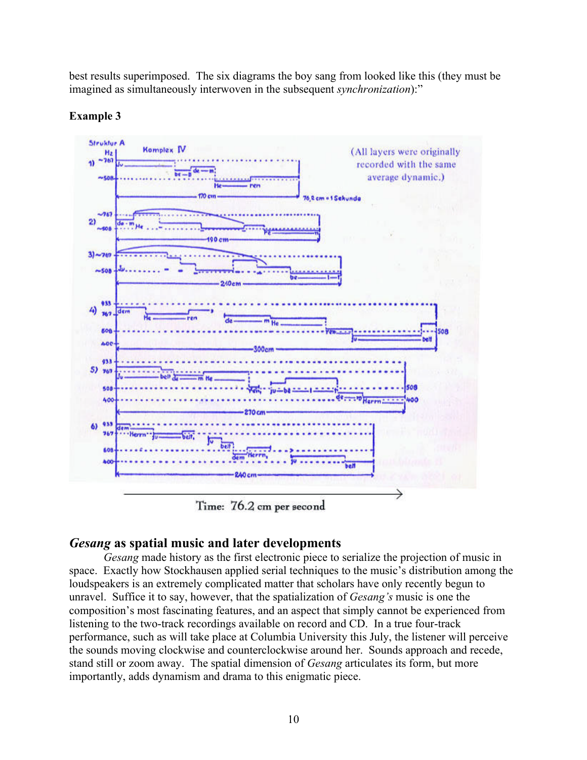best results superimposed. The six diagrams the boy sang from looked like this (they must be imagined as simultaneously interwoven in the subsequent *synchronization*):"



## **Example 3**

Time: 76.2 cm per second

# *Gesang* **as spatial music and later developments**

*Gesang* made history as the first electronic piece to serialize the projection of music in space. Exactly how Stockhausen applied serial techniques to the music's distribution among the loudspeakers is an extremely complicated matter that scholars have only recently begun to unravel. Suffice it to say, however, that the spatialization of *Gesang's* music is one the composition's most fascinating features, and an aspect that simply cannot be experienced from listening to the two-track recordings available on record and CD. In a true four-track performance, such as will take place at Columbia University this July, the listener will perceive the sounds moving clockwise and counterclockwise around her. Sounds approach and recede, stand still or zoom away. The spatial dimension of *Gesang* articulates its form, but more importantly, adds dynamism and drama to this enigmatic piece.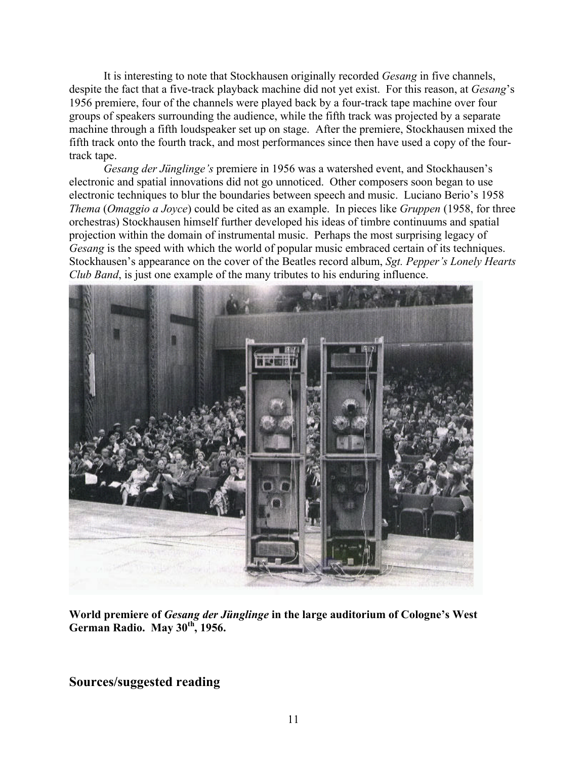It is interesting to note that Stockhausen originally recorded *Gesang* in five channels, despite the fact that a five-track playback machine did not yet exist. For this reason, at *Gesang*'s 1956 premiere, four of the channels were played back by a four-track tape machine over four groups of speakers surrounding the audience, while the fifth track was projected by a separate machine through a fifth loudspeaker set up on stage. After the premiere, Stockhausen mixed the fifth track onto the fourth track, and most performances since then have used a copy of the fourtrack tape.

*Gesang der Jünglinge's* premiere in 1956 was a watershed event, and Stockhausen's electronic and spatial innovations did not go unnoticed. Other composers soon began to use electronic techniques to blur the boundaries between speech and music. Luciano Berio's 1958 *Thema* (*Omaggio a Joyce*) could be cited as an example. In pieces like *Gruppen* (1958, for three orchestras) Stockhausen himself further developed his ideas of timbre continuums and spatial projection within the domain of instrumental music. Perhaps the most surprising legacy of *Gesang* is the speed with which the world of popular music embraced certain of its techniques. Stockhausen's appearance on the cover of the Beatles record album, *Sgt. Pepper's Lonely Hearts Club Band*, is just one example of the many tributes to his enduring influence.



**World premiere of** *Gesang der Jünglinge* **in the large auditorium of Cologne's West German Radio. May 30th, 1956.**

# **Sources/suggested reading**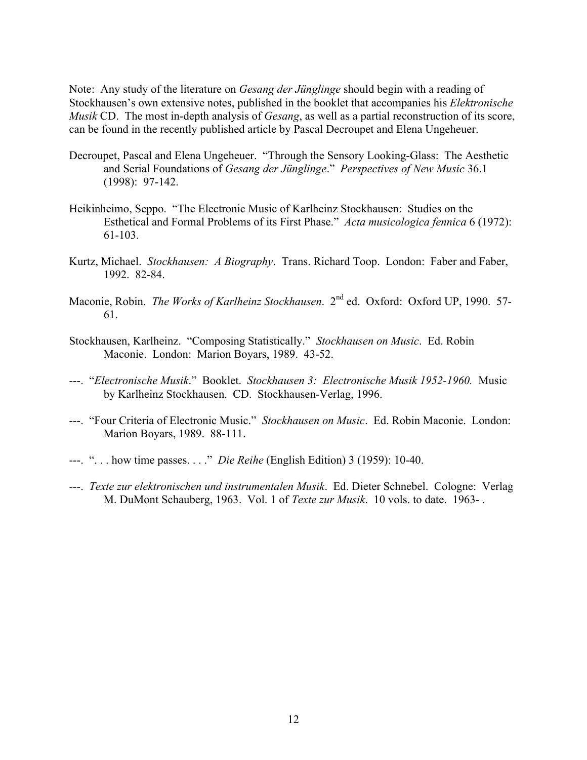Note: Any study of the literature on *Gesang der Jünglinge* should begin with a reading of Stockhausen's own extensive notes, published in the booklet that accompanies his *Elektronische Musik* CD. The most in-depth analysis of *Gesang*, as well as a partial reconstruction of its score, can be found in the recently published article by Pascal Decroupet and Elena Ungeheuer.

- Decroupet, Pascal and Elena Ungeheuer. "Through the Sensory Looking-Glass: The Aesthetic and Serial Foundations of *Gesang der Jünglinge*." *Perspectives of New Music* 36.1 (1998): 97-142.
- Heikinheimo, Seppo. "The Electronic Music of Karlheinz Stockhausen: Studies on the Esthetical and Formal Problems of its First Phase." *Acta musicologica fennica* 6 (1972): 61-103.
- Kurtz, Michael. *Stockhausen: A Biography*. Trans. Richard Toop. London: Faber and Faber, 1992. 82-84.
- Maconie, Robin. *The Works of Karlheinz Stockhausen*. 2nd ed. Oxford: Oxford UP, 1990. 57- 61.
- Stockhausen, Karlheinz. "Composing Statistically." *Stockhausen on Music*. Ed. Robin Maconie. London: Marion Boyars, 1989. 43-52.
- ---. "*Electronische Musik*." Booklet. *Stockhausen 3: Electronische Musik 1952-1960.* Music by Karlheinz Stockhausen. CD. Stockhausen-Verlag, 1996.
- ---. "Four Criteria of Electronic Music." *Stockhausen on Music*. Ed. Robin Maconie. London: Marion Boyars, 1989. 88-111.
- ---. ". . . how time passes. . . ." *Die Reihe* (English Edition) 3 (1959): 10-40.
- ---. *Texte zur elektronischen und instrumentalen Musik*. Ed. Dieter Schnebel. Cologne: Verlag M. DuMont Schauberg, 1963. Vol. 1 of *Texte zur Musik*. 10 vols. to date. 1963- .